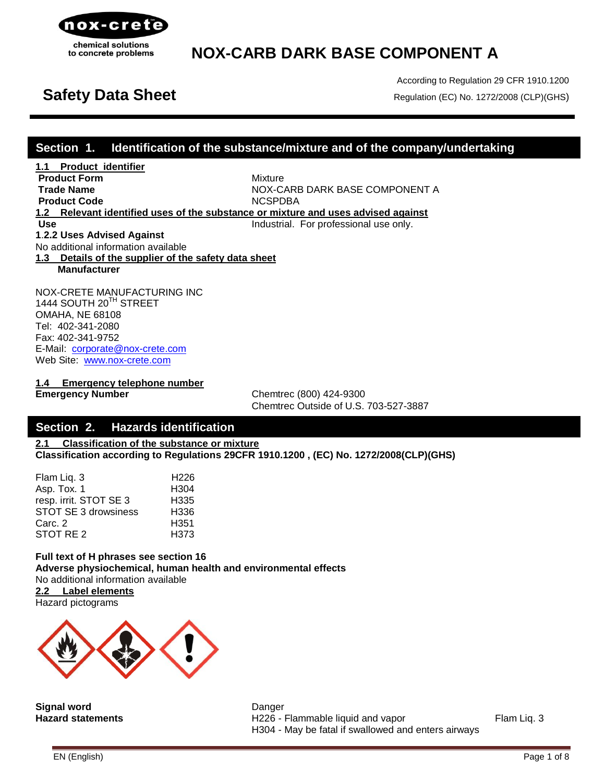

According to Regulation 29 CFR 1910.1200 **Safety Data Sheet** Regulation (EC) No. 1272/2008 (CLP)(GHS)

## **Section 1. Identification of the substance/mixture and of the company/undertaking**

**1.1 Product identifier Product Form Mixture Trade Name** NOX-CARB DARK BASE COMPONENT A **Product Code** NCSPDBA **1.2 Relevant identified uses of the substance or mixture and uses advised against Use Industrial.** For professional use only. **1**.**2.2 Uses Advised Against** No additional information available **1.3 Details of the supplier of the safety data sheet Manufacturer**

NOX-CRETE MANUFACTURING INC 1444 SOUTH 20<sup>TH</sup> STREET OMAHA, NE 68108 Tel: 402-341-2080 Fax: 402-341-9752 E-Mail: [corporate@nox-crete.com](mailto:corperate@nox-crete.com) Web Site: [www.nox-crete.com](http://www.nox-crete.com/)

**1.4 Emergency telephone number**

**Emergency Number** Chemtrec (800) 424-9300 Chemtrec Outside of U.S. 703-527-3887

## **Section 2. Hazards identification**

**2.1 Classification of the substance or mixture Classification according to Regulations 29CFR 1910.1200 , (EC) No. 1272/2008(CLP)(GHS)**

| Flam Liq. 3                 | H <sub>226</sub> |
|-----------------------------|------------------|
| Asp. Tox. 1                 | H <sub>304</sub> |
| resp. irrit. STOT SE 3      | H <sub>335</sub> |
| <b>STOT SE 3 drowsiness</b> | H <sub>336</sub> |
| Carc. 2                     | H <sub>351</sub> |
| STOT RE 2                   | H <sub>373</sub> |

**Full text of H phrases see section 16 Adverse physiochemical, human health and environmental effects** No additional information available **2.2 Label elements**

Hazard pictograms



**Signal word** Danger

**Hazard statements H226 - Flammable liquid and vapor** Flam Liq. 3 H304 - May be fatal if swallowed and enters airways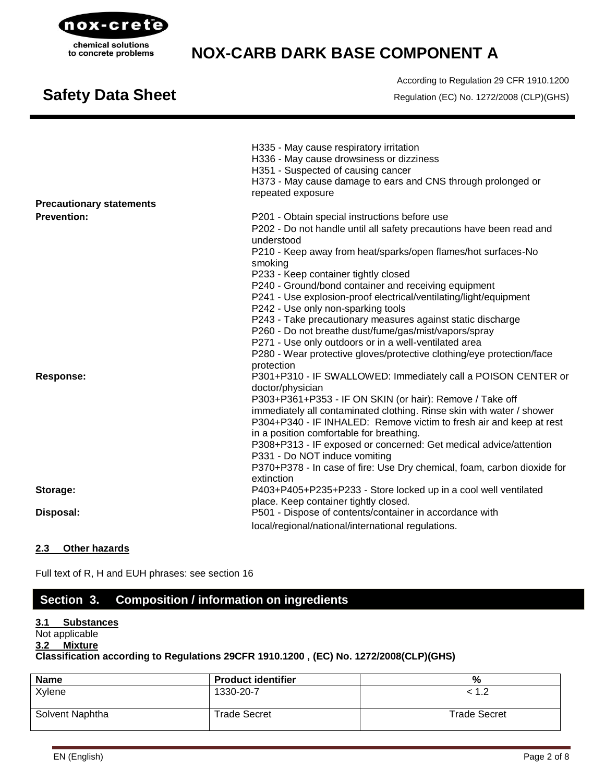

# **Safety Data Sheet** Regulation (EC) No. 1272/2008 (CLP)(GHS)

According to Regulation 29 CFR 1910.1200

|                                                       | H335 - May cause respiratory irritation<br>H336 - May cause drowsiness or dizziness<br>H351 - Suspected of causing cancer<br>H373 - May cause damage to ears and CNS through prolonged or<br>repeated exposure                                       |
|-------------------------------------------------------|------------------------------------------------------------------------------------------------------------------------------------------------------------------------------------------------------------------------------------------------------|
| <b>Precautionary statements</b><br><b>Prevention:</b> |                                                                                                                                                                                                                                                      |
|                                                       | P201 - Obtain special instructions before use<br>P202 - Do not handle until all safety precautions have been read and<br>understood                                                                                                                  |
|                                                       | P210 - Keep away from heat/sparks/open flames/hot surfaces-No<br>smoking                                                                                                                                                                             |
|                                                       | P233 - Keep container tightly closed                                                                                                                                                                                                                 |
|                                                       | P240 - Ground/bond container and receiving equipment<br>P241 - Use explosion-proof electrical/ventilating/light/equipment<br>P242 - Use only non-sparking tools                                                                                      |
|                                                       | P243 - Take precautionary measures against static discharge                                                                                                                                                                                          |
|                                                       | P260 - Do not breathe dust/fume/gas/mist/vapors/spray                                                                                                                                                                                                |
|                                                       | P271 - Use only outdoors or in a well-ventilated area                                                                                                                                                                                                |
|                                                       | P280 - Wear protective gloves/protective clothing/eye protection/face<br>protection                                                                                                                                                                  |
| Response:                                             | P301+P310 - IF SWALLOWED: Immediately call a POISON CENTER or<br>doctor/physician                                                                                                                                                                    |
|                                                       | P303+P361+P353 - IF ON SKIN (or hair): Remove / Take off<br>immediately all contaminated clothing. Rinse skin with water / shower<br>P304+P340 - IF INHALED: Remove victim to fresh air and keep at rest<br>in a position comfortable for breathing. |
|                                                       | P308+P313 - IF exposed or concerned: Get medical advice/attention<br>P331 - Do NOT induce vomiting                                                                                                                                                   |
|                                                       | P370+P378 - In case of fire: Use Dry chemical, foam, carbon dioxide for<br>extinction                                                                                                                                                                |
| Storage:                                              | P403+P405+P235+P233 - Store locked up in a cool well ventilated                                                                                                                                                                                      |
|                                                       | place. Keep container tightly closed.                                                                                                                                                                                                                |
| Disposal:                                             | P501 - Dispose of contents/container in accordance with                                                                                                                                                                                              |
|                                                       | local/regional/national/international regulations.                                                                                                                                                                                                   |

### **2.3 Other hazards**

Full text of R, H and EUH phrases: see section 16

# **Section 3. Composition / information on ingredients**

### **3.1 Substances**

## Not applicable

## **3.2 Mixture**

## **Classification according to Regulations 29CFR 1910.1200 , (EC) No. 1272/2008(CLP)(GHS)**

| <b>Name</b>     | <b>Product identifier</b> | %                   |
|-----------------|---------------------------|---------------------|
| Xylene          | 1330-20-7                 | < 1.2               |
| Solvent Naphtha | <b>Trade Secret</b>       | <b>Trade Secret</b> |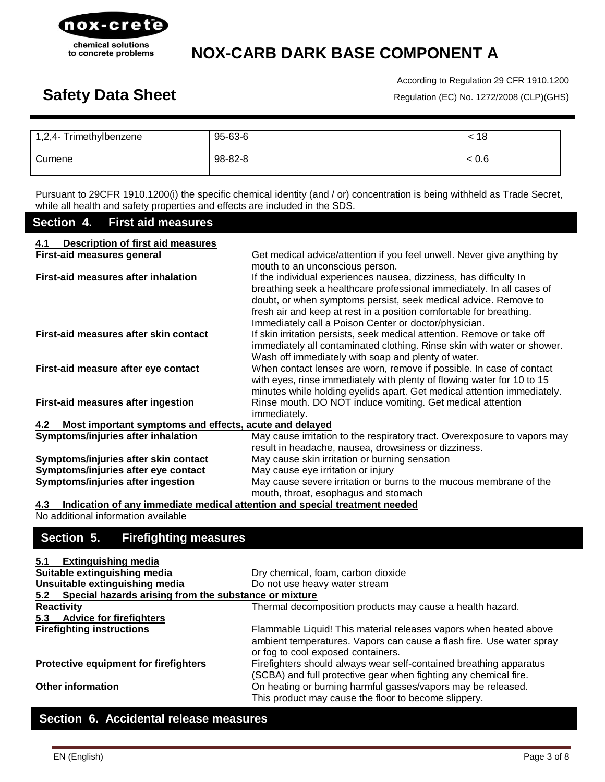

According to Regulation 29 CFR 1910.1200 Safety Data Sheet **Regulation (EC) No. 1272/2008 (CLP)(GHS)** 

| 1,2,4- Trimethylbenzene | 95-63-6 | . 18  |
|-------------------------|---------|-------|
| Cumene                  | 98-82-8 | < 0.6 |

Pursuant to 29CFR 1910.1200(i) the specific chemical identity (and / or) concentration is being withheld as Trade Secret, while all health and safety properties and effects are included in the SDS.

## **Section 4. First aid measures**

| <b>Description of first aid measures</b><br>4.1                                   |                                                                                                                                                                                                                                                                                                                                                |
|-----------------------------------------------------------------------------------|------------------------------------------------------------------------------------------------------------------------------------------------------------------------------------------------------------------------------------------------------------------------------------------------------------------------------------------------|
| <b>First-aid measures general</b>                                                 | Get medical advice/attention if you feel unwell. Never give anything by<br>mouth to an unconscious person.                                                                                                                                                                                                                                     |
| First-aid measures after inhalation                                               | If the individual experiences nausea, dizziness, has difficulty In<br>breathing seek a healthcare professional immediately. In all cases of<br>doubt, or when symptoms persist, seek medical advice. Remove to<br>fresh air and keep at rest in a position comfortable for breathing.<br>Immediately call a Poison Center or doctor/physician. |
| First-aid measures after skin contact                                             | If skin irritation persists, seek medical attention. Remove or take off<br>immediately all contaminated clothing. Rinse skin with water or shower.<br>Wash off immediately with soap and plenty of water.                                                                                                                                      |
| First-aid measure after eye contact                                               | When contact lenses are worn, remove if possible. In case of contact<br>with eyes, rinse immediately with plenty of flowing water for 10 to 15<br>minutes while holding eyelids apart. Get medical attention immediately.                                                                                                                      |
| First-aid measures after ingestion                                                | Rinse mouth. DO NOT induce vomiting. Get medical attention<br>immediately.                                                                                                                                                                                                                                                                     |
| Most important symptoms and effects, acute and delayed<br>$4.2^{\circ}$           |                                                                                                                                                                                                                                                                                                                                                |
| Symptoms/injuries after inhalation                                                | May cause irritation to the respiratory tract. Overexposure to vapors may<br>result in headache, nausea, drowsiness or dizziness.                                                                                                                                                                                                              |
| Symptoms/injuries after skin contact                                              | May cause skin irritation or burning sensation                                                                                                                                                                                                                                                                                                 |
| Symptoms/injuries after eye contact                                               | May cause eye irritation or injury                                                                                                                                                                                                                                                                                                             |
| Symptoms/injuries after ingestion                                                 | May cause severe irritation or burns to the mucous membrane of the<br>mouth, throat, esophagus and stomach                                                                                                                                                                                                                                     |
| Indication of any immediate medical attention and special treatment needed<br>4.3 |                                                                                                                                                                                                                                                                                                                                                |

No additional information available

## **Section 5. Firefighting measures**

| <b>Extinguishing media</b><br>5.1                         |                                                                                                                                                                                 |
|-----------------------------------------------------------|---------------------------------------------------------------------------------------------------------------------------------------------------------------------------------|
| Suitable extinguishing media                              | Dry chemical, foam, carbon dioxide                                                                                                                                              |
| Unsuitable extinguishing media                            | Do not use heavy water stream                                                                                                                                                   |
| 5.2 Special hazards arising from the substance or mixture |                                                                                                                                                                                 |
| <b>Reactivity</b>                                         | Thermal decomposition products may cause a health hazard.                                                                                                                       |
| 5.3 Advice for firefighters                               |                                                                                                                                                                                 |
| <b>Firefighting instructions</b>                          | Flammable Liquid! This material releases vapors when heated above<br>ambient temperatures. Vapors can cause a flash fire. Use water spray<br>or fog to cool exposed containers. |
| <b>Protective equipment for firefighters</b>              | Firefighters should always wear self-contained breathing apparatus<br>(SCBA) and full protective gear when fighting any chemical fire.                                          |
| <b>Other information</b>                                  | On heating or burning harmful gasses/vapors may be released.<br>This product may cause the floor to become slippery.                                                            |

# **Section 6. Accidental release measures**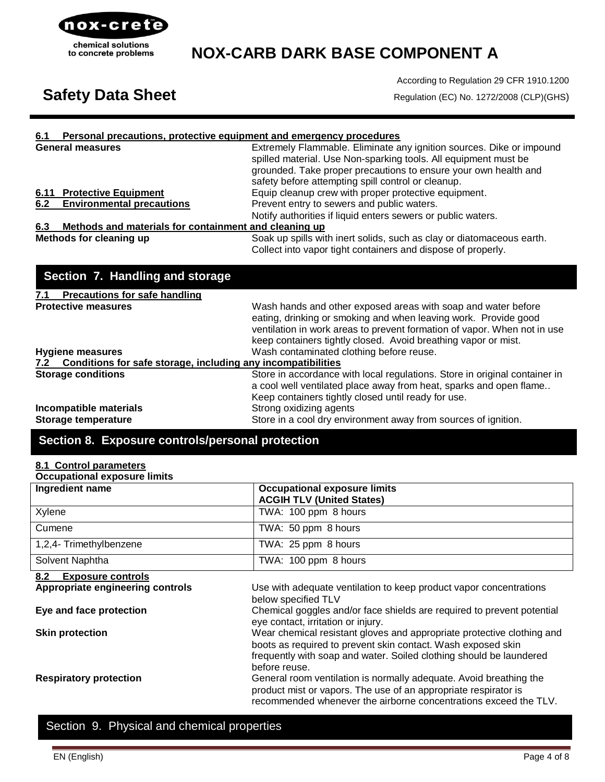

According to Regulation 29 CFR 1910.1200

# Safety Data Sheet **Regulation (EC) No. 1272/2008 (CLP)(GHS)**

### **6.1 Personal precautions, protective equipment and emergency procedures**

|     | <b>General measures</b>                                                                                                                                                                                                              | Extremely Flammable. Eliminate any ignition sources. Dike or impound                 |
|-----|--------------------------------------------------------------------------------------------------------------------------------------------------------------------------------------------------------------------------------------|--------------------------------------------------------------------------------------|
|     |                                                                                                                                                                                                                                      | spilled material. Use Non-sparking tools. All equipment must be                      |
|     |                                                                                                                                                                                                                                      | grounded. Take proper precautions to ensure your own health and                      |
|     |                                                                                                                                                                                                                                      | safety before attempting spill control or cleanup.                                   |
|     | 6.11 Protective Equipment                                                                                                                                                                                                            | Equip cleanup crew with proper protective equipment.                                 |
|     | 6.2 Environmental precautions                                                                                                                                                                                                        | Prevent entry to sewers and public waters.                                           |
|     |                                                                                                                                                                                                                                      | Notify authorities if liquid enters sewers or public waters.                         |
| 6.3 | Methods and materials for containment and cleaning up                                                                                                                                                                                |                                                                                      |
|     | <b>Reading the Committee of the Second Committee of the Committee of the Committee of the Committee of the Committee of the Committee of the Committee of the Committee of the Committee of the Committee of the Committee of th</b> | And the control the top and the control of the control of the control of the control |

**Methods for cleaning up** Soak up spills with inert solids, such as clay or diatomaceous earth. Collect into vapor tight containers and dispose of properly.

| Section 7. Handling and storage                                  |                                                                                                                                                                                                                                                                                |
|------------------------------------------------------------------|--------------------------------------------------------------------------------------------------------------------------------------------------------------------------------------------------------------------------------------------------------------------------------|
| <b>Precautions for safe handling</b><br>7.1                      |                                                                                                                                                                                                                                                                                |
| <b>Protective measures</b>                                       | Wash hands and other exposed areas with soap and water before<br>eating, drinking or smoking and when leaving work. Provide good<br>ventilation in work areas to prevent formation of vapor. When not in use<br>keep containers tightly closed. Avoid breathing vapor or mist. |
| <b>Hygiene measures</b>                                          | Wash contaminated clothing before reuse.                                                                                                                                                                                                                                       |
| 7.2 Conditions for safe storage, including any incompatibilities |                                                                                                                                                                                                                                                                                |
| <b>Storage conditions</b>                                        | Store in accordance with local regulations. Store in original container in<br>a cool well ventilated place away from heat, sparks and open flame<br>Keep containers tightly closed until ready for use.                                                                        |
| Incompatible materials<br><b>Storage temperature</b>             | Strong oxidizing agents<br>Store in a cool dry environment away from sources of ignition.                                                                                                                                                                                      |

## **Section 8. Exposure controls/personal protection**

### **8.1 Control parameters**

**Occupational exposure limits**

| Occupational exposure limits     |                                                                        |  |  |
|----------------------------------|------------------------------------------------------------------------|--|--|
| Ingredient name                  | <b>Occupational exposure limits</b>                                    |  |  |
|                                  | <b>ACGIH TLV (United States)</b>                                       |  |  |
| Xylene                           | TWA: 100 ppm 8 hours                                                   |  |  |
| Cumene                           | TWA: 50 ppm 8 hours                                                    |  |  |
| 1,2,4- Trimethylbenzene          | TWA: 25 ppm 8 hours                                                    |  |  |
| Solvent Naphtha                  | TWA: 100 ppm 8 hours                                                   |  |  |
| 8.2<br><b>Exposure controls</b>  |                                                                        |  |  |
| Appropriate engineering controls | Use with adequate ventilation to keep product vapor concentrations     |  |  |
|                                  | below specified TLV                                                    |  |  |
| Eye and face protection          | Chemical goggles and/or face shields are required to prevent potential |  |  |
|                                  | eye contact, irritation or injury.                                     |  |  |
| <b>Skin protection</b>           | Wear chemical resistant gloves and appropriate protective clothing and |  |  |
|                                  | boots as required to prevent skin contact. Wash exposed skin           |  |  |
|                                  | frequently with soap and water. Soiled clothing should be laundered    |  |  |
|                                  | before reuse.                                                          |  |  |
|                                  |                                                                        |  |  |
| <b>Respiratory protection</b>    | General room ventilation is normally adequate. Avoid breathing the     |  |  |
|                                  | product mist or vapors. The use of an appropriate respirator is        |  |  |
|                                  | recommended whenever the airborne concentrations exceed the TLV.       |  |  |

## Section 9. Physical and chemical properties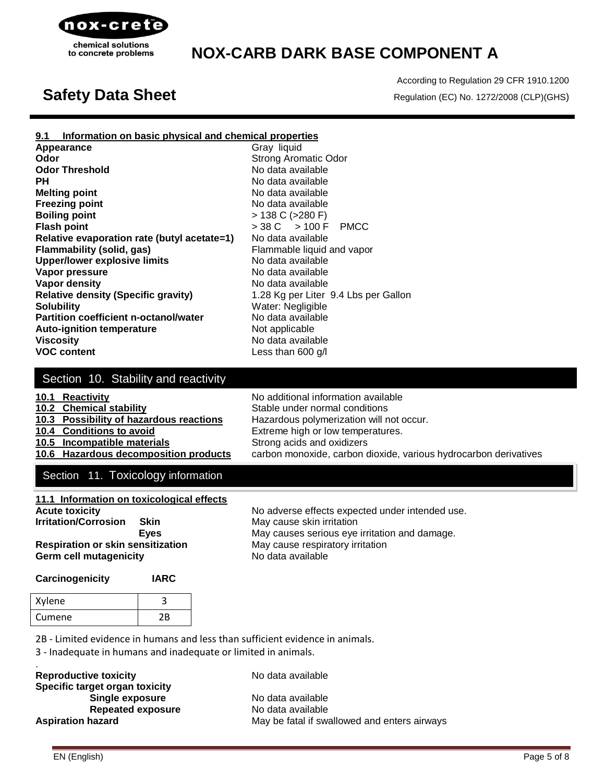

According to Regulation 29 CFR 1910.1200 **Safety Data Sheet** Regulation (EC) No. 1272/2008 (CLP)(GHS)

### **9.1 Information on basic physical and chemical properties**

**Appearance** Gray liquid **Odor** Strong Aromatic Odor **Odor Threshold** No data available **PH** No data available **Melting point Melting point No data available Freezing point No data available Boiling point** > 138 C (>280 F) **Flash point** > 38 C > 100 F PMCC **Relative evaporation rate (butyl acetate=1)** No data available **Flammability (solid, gas)** Flammable liquid and vapor **Upper/lower explosive limits** No data available **Vapor pressure** No data available **Vapor density No data available No data available Relative density (Specific gravity)** 1.28 Kg per Liter 9.4 Lbs per Gallon **Solubility** Water: Negligible **Partition coefficient n-octanol/water** No data available **Auto-ignition temperature** Not applicable **Viscosity No data available VOC content Less than 600 g/l** 

### Section 10. Stability and reactivity

### **10.1 Reactivity 10.1** Reactivity **No additional information available 10.2 Chemical stability** Stable under normal conditions **10.3 Possibility of hazardous reactions** Hazardous polymerization will not occur. **10.4 Conditions to avoid** Extreme high or low temperatures. **10.5 Incompatible materials** Strong acids and oxidizers **10.6 Hazardous decomposition products** carbon monoxide, carbon dioxide, various hydrocarbon derivatives

## Section 11. Toxicology information

| 11.1 Information on toxicological effects |                                   |
|-------------------------------------------|-----------------------------------|
| <b>Acute toxicity</b>                     | No adverse effects expected up    |
| <b>Irritation/Corrosion</b><br>Skin       | May cause skin irritation         |
| <b>Eves</b>                               | May causes serious eye irritation |
| <b>Respiration or skin sensitization</b>  | May cause respiratory irritation  |
| <b>Germ cell mutagenicity</b>             | No data available                 |

**Accure intended use. Eye** irritation and damage.

# **Carcinogenicity IARC**

| Xylene |    |
|--------|----|
| Cumene | 2R |

2B - Limited evidence in humans and less than sufficient evidence in animals.

3 - Inadequate in humans and inadequate or limited in animals.

## **Reproductive toxicity** No data available **Specific target organ toxicity Single exposure** No data available **Repeated exposure** No data available

Aspiration hazard **May be fatal if swallowed and enters airways** May be fatal if swallowed and enters airways

.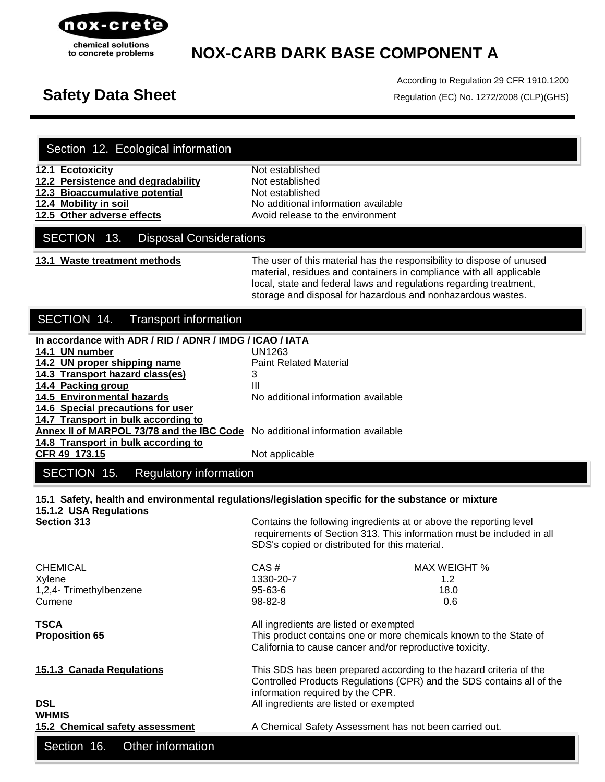

According to Regulation 29 CFR 1910.1200 **Safety Data Sheet** Regulation (EC) No. 1272/2008 (CLP)(GHS)

|  |  | Section 12. Ecological information |  |  |
|--|--|------------------------------------|--|--|
|--|--|------------------------------------|--|--|

**12.1 Ecotoxicity** Not established **12.2 Persistence and degradability** Not established

**12.3 Bioaccumulative potential Mot established** 

**12.4 Mobility in soil** No additional information available **12.5 Other adverse effects Avoid release to the environment** 

### SECTION 13. Disposal Considerations

**13.1 Waste treatment methods** The user of this material has the responsibility to dispose of unused material, residues and containers in compliance with all applicable local, state and federal laws and regulations regarding treatment, storage and disposal for hazardous and nonhazardous wastes.

## SECTION 14. Transport information

## **In accordance with ADR / RID / ADNR / IMDG / ICAO / IATA 14.1 UN number** UN1263 **14.2 UN proper shipping name** Paint Related Material **14.3 Transport hazard class(es)** 3 **14.4 Packing group** III **14.5 Environmental hazards** No additional information available **14.6 Special precautions for user 14.7 Transport in bulk according to Annex II of MARPOL 73/78 and the IBC Code** No additional information available **14.8 Transport in bulk according to CFR 49 173.15** Not applicable SECTION 15. Regulatory information

### **15.1 Safety, health and environmental regulations/legislation specific for the substance or mixture 15.1.2 USA Regulations Section 313** Contains the following ingredients at or above the reporting level

 requirements of Section 313. This information must be included in all SDS's copied or distributed for this material.

| <b>CHEMICAL</b>                 | $CAS \#$                                                              | <b>MAX WEIGHT %</b> |
|---------------------------------|-----------------------------------------------------------------------|---------------------|
| Xylene                          | 1330-20-7                                                             | 1.2                 |
| 1,2,4- Trimethylbenzene         | $95 - 63 - 6$                                                         | 18.0                |
| Cumene                          | $98 - 82 - 8$                                                         | 0.6                 |
| <b>TSCA</b>                     | All ingredients are listed or exempted                                |                     |
| <b>Proposition 65</b>           | This product contains one or more chemicals known to the State of     |                     |
|                                 | California to cause cancer and/or reproductive toxicity.              |                     |
| 15.1.3 Canada Regulations       | This SDS has been prepared according to the hazard criteria of the    |                     |
|                                 | Controlled Products Regulations (CPR) and the SDS contains all of the |                     |
|                                 | information required by the CPR.                                      |                     |
| <b>DSL</b>                      | All ingredients are listed or exempted                                |                     |
| <b>WHMIS</b>                    |                                                                       |                     |
| 15.2 Chemical safety assessment | A Chemical Safety Assessment has not been carried out.                |                     |

EN (English) Page 6 of 8

Section 16. Other information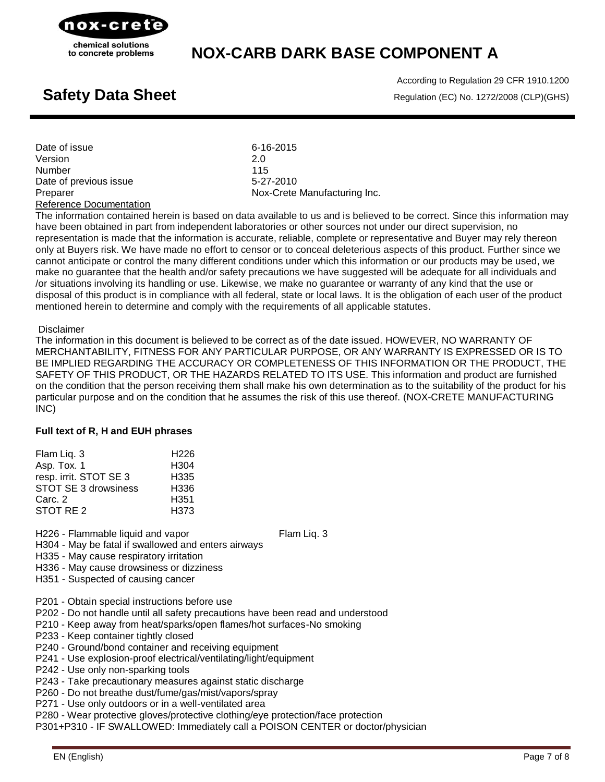

According to Regulation 29 CFR 1910.1200 **Safety Data Sheet Regulation** (EC) No. 1272/2008 (CLP)(GHS)

| Date of issue           | 6-16-2015                    |
|-------------------------|------------------------------|
| Version                 | 2.0                          |
| <b>Number</b>           | 115                          |
| Date of previous issue  | 5-27-2010                    |
| Preparer                | Nox-Crete Manufacturing Inc. |
| Reference Documentation |                              |

The information contained herein is based on data available to us and is believed to be correct. Since this information may have been obtained in part from independent laboratories or other sources not under our direct supervision, no representation is made that the information is accurate, reliable, complete or representative and Buyer may rely thereon only at Buyers risk. We have made no effort to censor or to conceal deleterious aspects of this product. Further since we cannot anticipate or control the many different conditions under which this information or our products may be used, we make no guarantee that the health and/or safety precautions we have suggested will be adequate for all individuals and /or situations involving its handling or use. Likewise, we make no guarantee or warranty of any kind that the use or disposal of this product is in compliance with all federal, state or local laws. It is the obligation of each user of the product mentioned herein to determine and comply with the requirements of all applicable statutes.

### Disclaimer

The information in this document is believed to be correct as of the date issued. HOWEVER, NO WARRANTY OF MERCHANTABILITY, FITNESS FOR ANY PARTICULAR PURPOSE, OR ANY WARRANTY IS EXPRESSED OR IS TO BE IMPLIED REGARDING THE ACCURACY OR COMPLETENESS OF THIS INFORMATION OR THE PRODUCT, THE SAFETY OF THIS PRODUCT, OR THE HAZARDS RELATED TO ITS USE. This information and product are furnished on the condition that the person receiving them shall make his own determination as to the suitability of the product for his particular purpose and on the condition that he assumes the risk of this use thereof. (NOX-CRETE MANUFACTURING INC)

### **Full text of R, H and EUH phrases**

| Flam Lig. 3            | H <sub>226</sub> |
|------------------------|------------------|
| Asp. Tox. 1            | H <sub>304</sub> |
| resp. irrit. STOT SE 3 | H <sub>335</sub> |
| STOT SE 3 drowsiness   | H336             |
| Carc. 2                | H <sub>351</sub> |
| STOT RE <sub>2</sub>   | H <sub>373</sub> |

H226 - Flammable liquid and vapor Flam Liq. 3

H304 - May be fatal if swallowed and enters airways

H335 - May cause respiratory irritation

- H336 May cause drowsiness or dizziness
- H351 Suspected of causing cancer
- P201 Obtain special instructions before use
- P202 Do not handle until all safety precautions have been read and understood
- P210 Keep away from heat/sparks/open flames/hot surfaces-No smoking
- P233 Keep container tightly closed
- P240 Ground/bond container and receiving equipment
- P241 Use explosion-proof electrical/ventilating/light/equipment
- P242 Use only non-sparking tools
- P243 Take precautionary measures against static discharge
- P260 Do not breathe dust/fume/gas/mist/vapors/spray
- P271 Use only outdoors or in a well-ventilated area
- P280 Wear protective gloves/protective clothing/eye protection/face protection

P301+P310 - IF SWALLOWED: Immediately call a POISON CENTER or doctor/physician